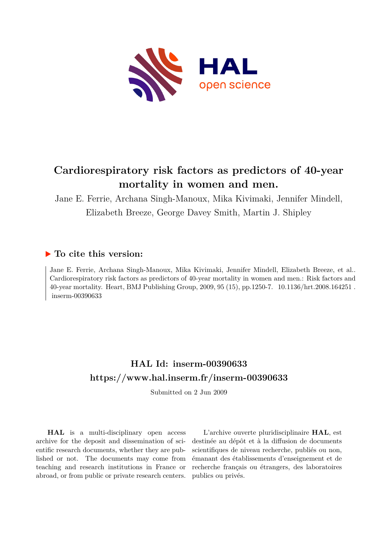

# **Cardiorespiratory risk factors as predictors of 40-year mortality in women and men.**

Jane E. Ferrie, Archana Singh-Manoux, Mika Kivimaki, Jennifer Mindell, Elizabeth Breeze, George Davey Smith, Martin J. Shipley

# **To cite this version:**

Jane E. Ferrie, Archana Singh-Manoux, Mika Kivimaki, Jennifer Mindell, Elizabeth Breeze, et al.. Cardiorespiratory risk factors as predictors of 40-year mortality in women and men.: Risk factors and 40-year mortality. Heart, BMJ Publishing Group, 2009, 95 (15), pp.1250-7. 10.1136/hrt.2008.164251. inserm-00390633

# **HAL Id: inserm-00390633 <https://www.hal.inserm.fr/inserm-00390633>**

Submitted on 2 Jun 2009

**HAL** is a multi-disciplinary open access archive for the deposit and dissemination of scientific research documents, whether they are published or not. The documents may come from teaching and research institutions in France or abroad, or from public or private research centers.

L'archive ouverte pluridisciplinaire **HAL**, est destinée au dépôt et à la diffusion de documents scientifiques de niveau recherche, publiés ou non, émanant des établissements d'enseignement et de recherche français ou étrangers, des laboratoires publics ou privés.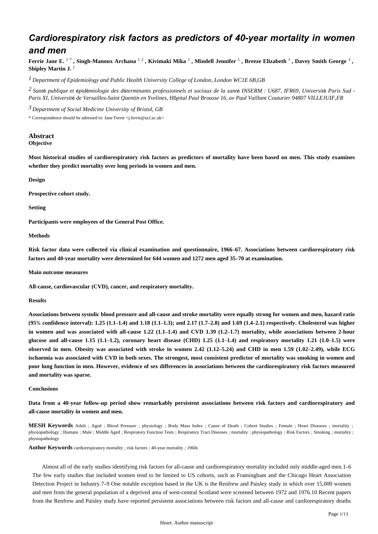# *Cardiorespiratory risk factors as predictors of 40-year mortality in women and men*

Ferrie Jane E. 1 \*, Singh-Manoux Archana 12, Kivimaki Mika 1, Mindell Jennifer 1, Breeze Elizabeth 1, Davey Smith George 3, **Shipley Martin J.** <sup>1</sup>

*Department of Epidemiology and Public Health 1 University College of London, London WC1E 6B,GB*

<sup>2</sup> Santé publique et épidémiologie des déterminants professionnels et sociaux de la santé INSERM : U687, IFR69, Université Paris Sud -*Paris XI, Universit*é *de Versailles-Saint Quentin en Yvelines, H*ô*pital Paul Brousse 16, av Paul Vaillant Couturier 94807 VILLEJUIF,FR*

*Department of Social Medicine 3 University of Bristol, GB*

\* Correspondence should be adressed to: Jane Ferrie <j.ferrie@ucl.ac.uk>

## **Abstract Objective**

**Most historical studies of cardiorespiratory risk factors as predictors of mortality have been based on men. This study examines whether they predict mortality over long periods in women and men.**

**Design**

**Prospective cohort study.**

**Setting**

**Participants were employees of the General Post Office.**

**Methods**

**Risk factor data were collected via clinical examination and questionnaire, 1966**–**67. Associations between cardiorespiratory risk factors and 40-year mortality were determined for 644 women and 1272 men aged 35**–**70 at examination.**

**Main outcome measures**

**All-cause, cardiovascular (CVD), cancer, and respiratory mortality.**

**Results**

**Associations between systolic blood pressure and all-cause and stroke mortality were equally strong for women and men, hazard ratio (95**% **confidence interval): 1.25 (1.1**–**1.4) and 1.18 (1.1**–**1.3); and 2.17 (1.7**–**2.8) and 1.69 (1.4**–**2.1) respectively. Cholesterol was higher in women and was associated with all-cause 1.22 (1.1**–**1.4) and CVD 1.39 (1.2**–**1.7) mortality, while associations between 2-hour glucose and all-cause 1.15 (1.1**–**1.2), coronary heart disease (CHD) 1.25 (1.1**–**1.4) and respiratory mortality 1.21 (1.0**–**1.5) were observed in men. Obesity was associated with stroke in women 2.42 (1.12**–**5.24) and CHD in men 1.59 (1.02**–**2.49), while ECG ischaemia was associated with CVD in both sexes. The strongest, most consistent predictor of mortality was smoking in women and poor lung function in men. However, evidence of sex differences in associations between the cardiorespiratory risk factors measured and mortality was sparse.**

## **Conclusions**

**Data from a 40-year follow-up period show remarkably persistent associations between risk factors and cardiorespiratory and all-cause mortality in women and men.**

**MESH Keywords** Adult ; Aged ; Blood Pressure ; physiology ; Body Mass Index ; Cause of Death ; Cohort Studies ; Female ; Heart Diseases ; mortality ; physiopathology ; Humans ; Male ; Middle Aged ; Respiratory Function Tests ; Respiratory Tract Diseases ; mortality ; physiopathology ; Risk Factors ; Smoking ; mortality ; physiopathology

**Author Keywords** cardiorespiratory mortality ; risk factors ; 40-year mortality ; 1960s

Almost all of the early studies identifying risk factors for all-cause and cardiorespiratory mortality included only middle-aged men.1–6 The few early studies that included women tend to be limited to US cohorts, such as Framingham and the Chicago Heart Association Detection Project in Industry.7–9 One notable exception based in the UK is the Renfrew and Paisley study in which over 15,000 women and men from the general population of a deprived area of west-central Scotland were screened between 1972 and 1976.10 Recent papers from the Renfrew and Paisley study have reported persistent associations between risk factors and all-cause and cardiorespiratory deaths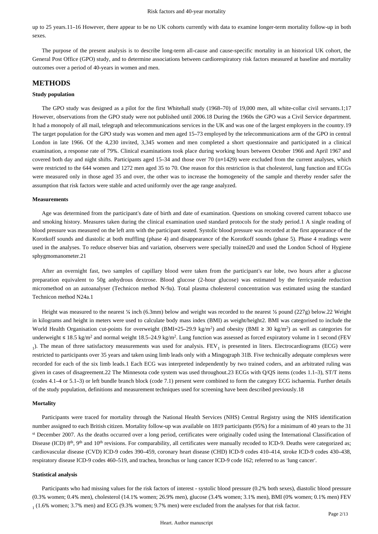up to 25 years.11–16 However, there appear to be no UK cohorts currently with data to examine longer-term mortality follow-up in both sexes.

The purpose of the present analysis is to describe long-term all-cause and cause-specific mortality in an historical UK cohort, the General Post Office (GPO) study, and to determine associations between cardiorespiratory risk factors measured at baseline and mortality outcomes over a period of 40-years in women and men.

# **METHODS**

## **Study population**

The GPO study was designed as a pilot for the first Whitehall study (1968–70) of 19,000 men, all white-collar civil servants.1;17 However, observations from the GPO study were not published until 2006.18 During the 1960s the GPO was a Civil Service department. It had a monopoly of all mail, telegraph and telecommunications services in the UK and was one of the largest employers in the country.19 The target population for the GPO study was women and men aged 15–73 employed by the telecommunications arm of the GPO in central London in late 1966. Of the 4,230 invited, 3,345 women and men completed a short questionnaire and participated in a clinical examination, a response rate of 79%. Clinical examinations took place during working hours between October 1966 and April 1967 and covered both day and night shifts. Participants aged 15–34 and those over 70 (n=1429) were excluded from the current analyses, which were restricted to the 644 women and 1272 men aged 35 to 70. One reason for this restriction is that cholesterol, lung function and ECGs were measured only in those aged 35 and over, the other was to increase the homogeneity of the sample and thereby render safer the assumption that risk factors were stable and acted uniformly over the age range analyzed.

## **Measurements**

Age was determined from the participant's date of birth and date of examination. Questions on smoking covered current tobacco use and smoking history. Measures taken during the clinical examination used standard protocols for the study period.1 A single reading of blood pressure was measured on the left arm with the participant seated. Systolic blood pressure was recorded at the first appearance of the Korotkoff sounds and diastolic at both muffling (phase 4) and disappearance of the Korotkoff sounds (phase 5). Phase 4 readings were used in the analyses. To reduce observer bias and variation, observers were specially trained20 and used the London School of Hygiene sphygmomanometer.21

After an overnight fast, two samples of capillary blood were taken from the participant's ear lobe, two hours after a glucose preparation equivalent to 50g anhydrous dextrose. Blood glucose (2-hour glucose) was estimated by the ferricyanide reduction micromethod on an autoanalyser (Technicon method N-9a). Total plasma cholesterol concentration was estimated using the standard Technicon method N24a.1

Height was measured to the nearest  $\frac{1}{4}$  inch (6.3mm) below and weight was recorded to the nearest  $\frac{1}{2}$  pound (227g) below.22 Weight in kilograms and height in meters were used to calculate body mass index (BMI) as weight/height2. BMI was categorised to include the World Health Organisation cut-points for overweight (BMI=25–29.9 kg/m<sup>2</sup>) and obesity (BMI  $\geq$  30 kg/m<sup>2</sup>) as well as categories for underweight ≤ 18.5 kg/m<sup>2</sup> and normal weight 18.5–24.9 kg/m<sup>2</sup>. Lung function was assessed as forced expiratory volume in 1 second (FEV  $_1$ ). The mean of three satisfactory measurements was used for analysis. FEV<sub>1</sub> is presented in liters. Electrocardiograms (ECG) were restricted to participants over 35 years and taken using limb leads only with a Mingograph 31B. Five technically adequate complexes were recorded for each of the six limb leads.1 Each ECG was interpreted independently by two trained coders, and an arbitrated ruling was given in cases of disagreement.22 The Minnesota code system was used throughout.23 ECGs with Q/QS items (codes 1.1–3), ST/T items (codes 4.1–4 or 5.1–3) or left bundle branch block (code 7.1) present were combined to form the category ECG ischaemia. Further details of the study population, definitions and measurement techniques used for screening have been described previously.18

## **Mortality**

Participants were traced for mortality through the National Health Services (NHS) Central Registry using the NHS identification number assigned to each British citizen. Mortality follow-up was available on 1819 participants (95%) for a minimum of 40 years to the 31 st December 2007. As the deaths occurred over a long period, certificates were originally coded using the International Classification of Disease (ICD)  $8<sup>th</sup>$ ,  $9<sup>th</sup>$  and  $10<sup>th</sup>$  revisions. For comparability, all certificates were manually recoded to ICD-9. Deaths were categorized as; cardiovascular disease (CVD) ICD-9 codes 390–459, coronary heart disease (CHD) ICD-9 codes 410–414, stroke ICD-9 codes 430–438, respiratory disease ICD-9 codes 460–519, and trachea, bronchus or lung cancer ICD-9 code 162; referred to as 'lung cancer'.

#### **Statistical analysis**

Participants who had missing values for the risk factors of interest - systolic blood pressure (0.2% both sexes), diastolic blood pressure (0.3% women; 0.4% men), cholesterol (14.1% women; 26.9% men), glucose (3.4% women; 3.1% men), BMI (0% women; 0.1% men) FEV  $_1$  (1.6% women; 3.7% men) and ECG (9.3% women; 9.7% men) were excluded from the analyses for that risk factor.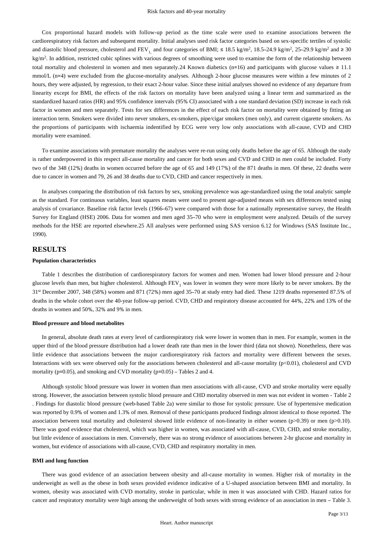Cox proportional hazard models with follow-up period as the time scale were used to examine associations between the cardiorespiratory risk factors and subsequent mortality. Initial analyses used risk factor categories based on sex-specific tertiles of systolic and diastolic blood pressure, cholesterol and  $FEV_{1}$  and four categories of BMI;  $\leq 18.5$  kg/m<sup>2</sup>, 18.5–24.9 kg/m<sup>2</sup>, 25–29.9 kg/m<sup>2</sup> and  $\geq 30$  $kg/m<sup>2</sup>$ . In addition, restricted cubic splines with various degrees of smoothing were used to examine the form of the relationship between total mortality and cholesterol in women and men separately. 24 Known diabetics (n=16) and participants with glucose values  $\ge 11.1$ mmol/L (n=4) were excluded from the glucose-mortality analyses. Although 2-hour glucose measures were within a few minutes of 2 hours, they were adjusted, by regression, to their exact 2-hour value. Since these initial analyses showed no evidence of any departure from linearity except for BMI, the effects of the risk factors on mortality have been analyzed using a linear term and summarized as the standardized hazard ratios (HR) and 95% confidence intervals (95% CI) associated with a one standard deviation (SD) increase in each risk factor in women and men separately. Tests for sex differences in the effect of each risk factor on mortality were obtained by fitting an interaction term. Smokers were divided into never smokers, ex-smokers, pipe/cigar smokers (men only), and current cigarette smokers. As the proportions of participants with ischaemia indentified by ECG were very low only associations with all-cause, CVD and CHD mortality were examined.

To examine associations with premature mortality the analyses were re-run using only deaths before the age of 65. Although the study is rather underpowered in this respect all-cause mortality and cancer for both sexes and CVD and CHD in men could be included. Forty two of the 348 (12%) deaths in women occurred before the age of 65 and 149 (17%) of the 871 deaths in men. Of these, 22 deaths were due to cancer in women and 79, 26 and 38 deaths due to CVD, CHD and cancer respectively in men.

In analyses comparing the distribution of risk factors by sex, smoking prevalence was age-standardized using the total analytic sample as the standard. For continuous variables, least squares means were used to present age-adjusted means with sex differences tested using analysis of covariance. Baseline risk factor levels (1966–67) were compared with those for a nationally representative survey, the Health Survey for England (HSE) 2006. Data for women and men aged 35–70 who were in employment were analyzed. Details of the survey methods for the HSE are reported elsewhere.25 All analyses were performed using SAS version 6.12 for Windows (SAS Institute Inc., 1990).

# **RESULTS**

## **Population characteristics**

Table 1 describes the distribution of cardiorespiratory factors for women and men. Women had lower blood pressure and 2-hour glucose levels than men, but higher cholesterol. Although  $FEV<sub>1</sub>$  was lower in women they were more likely to be never smokers. By the  $31<sup>st</sup>$  December 2007, 348 (58%) women and 871 (72%) men aged 35–70 at study entry had died. These 1219 deaths represented 87.5% of deaths in the whole cohort over the 40-year follow-up period. CVD, CHD and respiratory disease accounted for 44%, 22% and 13% of the deaths in women and 50%, 32% and 9% in men.

## **Blood pressure and blood metabolites**

In general, absolute death rates at every level of cardiorespiratory risk were lower in women than in men. For example, women in the upper third of the blood pressure distribution had a lower death rate than men in the lower third (data not shown). Nonetheless, there was little evidence that associations between the major cardiorespiratory risk factors and mortality were different between the sexes. Interactions with sex were observed only for the associations between cholesterol and all-cause mortality (p<0.01), cholesterol and CVD mortality ( $p=0.05$ ), and smoking and CVD mortality ( $p=0.05$ ) – Tables 2 and 4.

Although systolic blood pressure was lower in women than men associations with all-cause, CVD and stroke mortality were equally strong. However, the association between systolic blood pressure and CHD mortality observed in men was not evident in women - Table 2 . Findings for diastolic blood pressure (web-based Table 2a) were similar to those for systolic pressure. Use of hypertensive medication was reported by 0.9% of women and 1.3% of men. Removal of these participants produced findings almost identical to those reported. The association between total mortality and cholesterol showed little evidence of non-linearity in either women (p>0.39) or men (p>0.10). There was good evidence that cholesterol, which was higher in women, was associated with all-cause, CVD, CHD, and stroke mortality, but little evidence of associations in men. Conversely, there was no strong evidence of associations between 2-hr glucose and mortality in women, but evidence of associations with all-cause, CVD, CHD and respiratory mortality in men.

## **BMI and lung function**

There was good evidence of an association between obesity and all-cause mortality in women. Higher risk of mortality in the underweight as well as the obese in both sexes provided evidence indicative of a U-shaped association between BMI and mortality. In women, obesity was associated with CVD mortality, stroke in particular, while in men it was associated with CHD. Hazard ratios for cancer and respiratory mortality were high among the underweight of both sexes with strong evidence of an association in men – Table 3.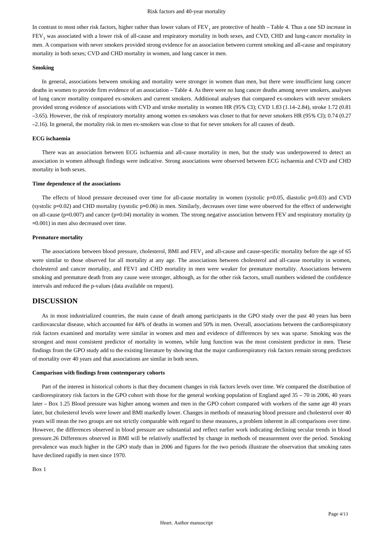In contrast to most other risk factors, higher rather than lower values of  $FEV<sub>1</sub>$  are protective of health  $-$  Table 4. Thus a one SD increase in  $FEV<sub>1</sub>$  was associated with a lower risk of all-cause and respiratory mortality in both sexes, and CVD, CHD and lung-cancer mortality in men. A comparison with never smokers provided strong evidence for an association between current smoking and all-cause and respiratory mortality in both sexes; CVD and CHD mortality in women, and lung cancer in men.

## **Smoking**

In general, associations between smoking and mortality were stronger in women than men, but there were insufficient lung cancer deaths in women to provide firm evidence of an association – Table 4. As there were no lung cancer deaths among never smokers, analyses of lung cancer mortality compared ex-smokers and current smokers. Additional analyses that compared ex-smokers with never smokers provided strong evidence of associations with CVD and stroke mortality in women HR (95% CI); CVD 1.83 (1.14–2.84), stroke 1.72 (0.81 –3.65). However, the risk of respiratory mortality among women ex-smokers was closer to that for never smokers HR (95% CI); 0.74 (0.27 –2.16). In general, the mortality risk in men ex-smokers was close to that for never smokers for all causes of death.

## **ECG ischaemia**

There was an association between ECG ischaemia and all-cause mortality in men, but the study was underpowered to detect an association in women although findings were indicative. Strong associations were observed between ECG ischaemia and CVD and CHD mortality in both sexes.

## **Time dependence of the associations**

The effects of blood pressure decreased over time for all-cause mortality in women (systolic p=0.05, diastolic p=0.03) and CVD (systolic p=0.02) and CHD mortality (systolic p=0.06) in men. Similarly, decreases over time were observed for the effect of underweight on all-cause (p=0.007) and cancer (p=0.04) mortality in women. The strong negative association between FEV and respiratory mortality (p =0.001) in men also decreased over time.

### **Premature mortality**

The associations between blood pressure, cholesterol, BMI and  $FEV<sub>1</sub>$  and all-cause and cause-specific mortality before the age of 65 were similar to those observed for all mortality at any age. The associations between cholesterol and all-cause mortality in women, cholesterol and cancer mortality, and FEV1 and CHD mortality in men were weaker for premature mortality. Associations between smoking and premature death from any cause were stronger, although, as for the other risk factors, small numbers widened the confidence intervals and reduced the p-values (data available on request).

# **DISCUSSION**

As in most industrialized countries, the main cause of death among participants in the GPO study over the past 40 years has been cardiovascular disease, which accounted for 44% of deaths in women and 50% in men. Overall, associations between the cardiorespiratory risk factors examined and mortality were similar in women and men and evidence of differences by sex was sparse. Smoking was the strongest and most consistent predictor of mortality in women, while lung function was the most consistent predictor in men. These findings from the GPO study add to the existing literature by showing that the major cardiorespiratory risk factors remain strong predictors of mortality over 40 years and that associations are similar in both sexes.

#### **Comparison with findings from contemporary cohorts**

Part of the interest in historical cohorts is that they document changes in risk factors levels over time. We compared the distribution of cardiorespiratory risk factors in the GPO cohort with those for the general working population of England aged 35 – 70 in 2006, 40 years later – Box 1.25 Blood pressure was higher among women and men in the GPO cohort compared with workers of the same age 40 years later, but cholesterol levels were lower and BMI markedly lower. Changes in methods of measuring blood pressure and cholesterol over 40 years will mean the two groups are not strictly comparable with regard to these measures, a problem inherent in all comparisons over time. However, the differences observed in blood pressure are substantial and reflect earlier work indicating declining secular trends in blood pressure.26 Differences observed in BMI will be relatively unaffected by change in methods of measurement over the period. Smoking prevalence was much higher in the GPO study than in 2006 and figures for the two periods illustrate the observation that smoking rates have declined rapidly in men since 1970.

Box 1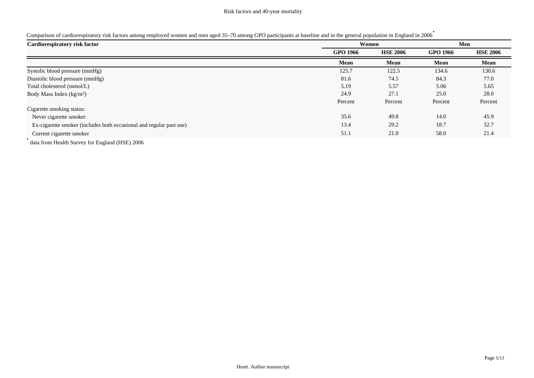|  |  |  | Comparison of cardiorespiratory risk factors among employed women and men aged 35-70 among GPO participants at baseline and in the general population in England in 2006 |
|--|--|--|--------------------------------------------------------------------------------------------------------------------------------------------------------------------------|
|  |  |  |                                                                                                                                                                          |
|  |  |  |                                                                                                                                                                          |
|  |  |  |                                                                                                                                                                          |

| Cardiorespiratory risk factor                                                                                                                                                                                                                                                                                                      |                 | Women<br>Men    |                 |                 |
|------------------------------------------------------------------------------------------------------------------------------------------------------------------------------------------------------------------------------------------------------------------------------------------------------------------------------------|-----------------|-----------------|-----------------|-----------------|
|                                                                                                                                                                                                                                                                                                                                    | <b>GPO 1966</b> | <b>HSE 2006</b> | <b>GPO 1966</b> | <b>HSE 2006</b> |
|                                                                                                                                                                                                                                                                                                                                    | <b>Mean</b>     | Mean            | Mean            | Mean            |
| Systolic blood pressure (mmHg)                                                                                                                                                                                                                                                                                                     | 125.7           | 122.5           | 134.6           | 130.6           |
| Diastolic blood pressure (mmHg)                                                                                                                                                                                                                                                                                                    | 81.6            | 74.5            | 84.3            | 77.0            |
| Total cholesterol (mmol/L)                                                                                                                                                                                                                                                                                                         | 5.19            | 5.57            | 5.06            | 5.65            |
| Body Mass Index $(kg/m2)$                                                                                                                                                                                                                                                                                                          | 24.9            | 27.1            | 25.0            | 28.0            |
|                                                                                                                                                                                                                                                                                                                                    | Percent         | Percent         | Percent         | Percent         |
| Cigarette smoking status:                                                                                                                                                                                                                                                                                                          |                 |                 |                 |                 |
| Never cigarette smoker                                                                                                                                                                                                                                                                                                             | 35.6            | 49.8            | 14.0            | 45.9            |
| Ex-cigarette smoker (includes both occasional and regular past use)                                                                                                                                                                                                                                                                | 13.4            | 29.2            | 18.7            | 32.7            |
| Current cigarette smoker                                                                                                                                                                                                                                                                                                           | 51.1            | 21.0            | 58.0            | 21.4            |
| $\mathbf{1}$ $\mathbf{c}$ $\mathbf{v}$ $\mathbf{1}$ $\mathbf{d}$ $\mathbf{c}$ $\mathbf{r}$ $\mathbf{1}$ $\mathbf{1}$ $\mathbf{u}$ $\mathbf{r}$ $\mathbf{r}$ $\mathbf{r}$ $\mathbf{r}$ $\mathbf{r}$ $\mathbf{r}$ $\mathbf{r}$ $\mathbf{r}$ $\mathbf{r}$ $\mathbf{r}$ $\mathbf{r}$ $\mathbf{r}$ $\mathbf{r}$ $\mathbf{r}$ $\mathbf{$ |                 |                 |                 |                 |

\* data from Health Survey for England (HSE) 2006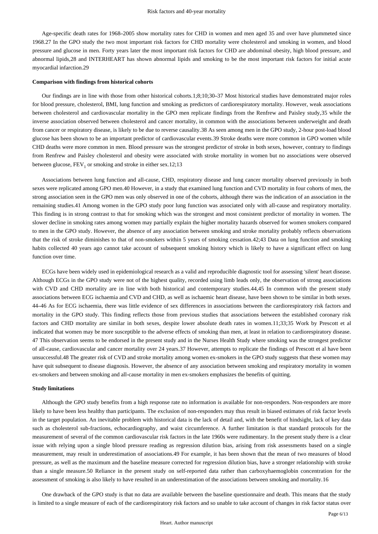Age-specific death rates for 1968–2005 show mortality rates for CHD in women and men aged 35 and over have plummeted since 1968.27 In the GPO study the two most important risk factors for CHD mortality were cholesterol and smoking in women, and blood pressure and glucose in men. Forty years later the most important risk factors for CHD are abdominal obesity, high blood pressure, and abnormal lipids,28 and INTERHEART has shown abnormal lipids and smoking to be the most important risk factors for initial acute myocardial infarction.29

## **Comparison with findings from historical cohorts**

Our findings are in line with those from other historical cohorts.1;8;10;30–37 Most historical studies have demonstrated major roles for blood pressure, cholesterol, BMI, lung function and smoking as predictors of cardiorespiratory mortality. However, weak associations between cholesterol and cardiovascular mortality in the GPO men replicate findings from the Renfrew and Paisley study,35 while the inverse association observed between cholesterol and cancer mortality, in common with the associations between underweight and death from cancer or respiratory disease, is likely to be due to reverse causality.38 As seen among men in the GPO study, 2-hour post-load blood glucose has been shown to be an important predictor of cardiovascular events.39 Stroke deaths were more common in GPO women while CHD deaths were more common in men. Blood pressure was the strongest predictor of stroke in both sexes, however, contrary to findings from Renfrew and Paisley cholesterol and obesity were associated with stroke mortality in women but no associations were observed between glucose,  $FEV_1$  or smoking and stroke in either sex.12;13

Associations between lung function and all-cause, CHD, respiratory disease and lung cancer mortality observed previously in both sexes were replicated among GPO men.40 However, in a study that examined lung function and CVD mortality in four cohorts of men, the strong association seen in the GPO men was only observed in one of the cohorts, although there was the indication of an association in the remaining studies.41 Among women in the GPO study poor lung function was associated only with all-cause and respiratory mortality. This finding is in strong contrast to that for smoking which was the strongest and most consistent predictor of mortality in women. The slower decline in smoking rates among women may partially explain the higher mortality hazards observed for women smokers compared to men in the GPO study. However, the absence of any association between smoking and stroke mortality probably reflects observations that the risk of stroke diminishes to that of non-smokers within 5 years of smoking cessation.42;43 Data on lung function and smoking habits collected 40 years ago cannot take account of subsequent smoking history which is likely to have a significant effect on lung function over time.

ECGs have been widely used in epidemiological research as a valid and reproducible diagnostic tool for assessing 'silent' heart disease. Although ECGs in the GPO study were not of the highest quality, recorded using limb leads only, the observation of strong associations with CVD and CHD mortality are in line with both historical and contemporary studies.44,45 In common with the present study associations between ECG ischaemia and CVD and CHD, as well as ischaemic heart disease, have been shown to be similar in both sexes. 44–46 As for ECG ischaemia, there was little evidence of sex differences in associations between the cardiorespiratory risk factors and mortality in the GPO study. This finding reflects those from previous studies that associations between the established coronary risk factors and CHD mortality are similar in both sexes, despite lower absolute death rates in women.11;33;35 Work by Prescott et al indicated that women may be more susceptible to the adverse effects of smoking than men, at least in relation to cardiorespiratory disease. 47 This observation seems to be endorsed in the present study and in the Nurses Health Study where smoking was the strongest predictor of all-cause, cardiovascular and cancer mortality over 24 years.37 However, attempts to replicate the findings of Prescott et al have been unsuccessful.48 The greater risk of CVD and stroke mortality among women ex-smokers in the GPO study suggests that these women may have quit subsequent to disease diagnosis. However, the absence of any association between smoking and respiratory mortality in women ex-smokers and between smoking and all-cause mortality in men ex-smokers emphasizes the benefits of quitting.

## **Study limitations**

Although the GPO study benefits from a high response rate no information is available for non-responders. Non-responders are more likely to have been less healthy than participants. The exclusion of non-responders may thus result in biased estimates of risk factor levels in the target population. An inevitable problem with historical data is the lack of detail and, with the benefit of hindsight, lack of key data such as cholesterol sub-fractions, echocardiography, and waist circumference. A further limitation is that standard protocols for the measurement of several of the common cardiovascular risk factors in the late 1960s were rudimentary. In the present study there is a clear issue with relying upon a single blood pressure reading as regression dilution bias, arising from risk assessments based on a single measurement, may result in underestimation of associations.49 For example, it has been shown that the mean of two measures of blood pressure, as well as the maximum and the baseline measure corrected for regression dilution bias, have a stronger relationship with stroke than a single measure.50 Reliance in the present study on self-reported data rather than carboxyhaemoglobin concentration for the assessment of smoking is also likely to have resulted in an underestimation of the associations between smoking and mortality.16

One drawback of the GPO study is that no data are available between the baseline questionnaire and death. This means that the study is limited to a single measure of each of the cardiorespiratory risk factors and so unable to take account of changes in risk factor status over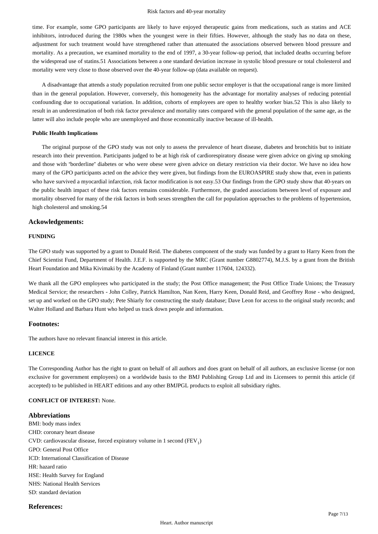time. For example, some GPO participants are likely to have enjoyed therapeutic gains from medications, such as statins and ACE inhibitors, introduced during the 1980s when the youngest were in their fifties. However, although the study has no data on these, adjustment for such treatment would have strengthened rather than attenuated the associations observed between blood pressure and mortality. As a precaution, we examined mortality to the end of 1997, a 30-year follow-up period, that included deaths occurring before the widespread use of statins.51 Associations between a one standard deviation increase in systolic blood pressure or total cholesterol and mortality were very close to those observed over the 40-year follow-up (data available on request).

A disadvantage that attends a study population recruited from one public sector employer is that the occupational range is more limited than in the general population. However, conversely, this homogeneity has the advantage for mortality analyses of reducing potential confounding due to occupational variation. In addition, cohorts of employees are open to healthy worker bias.52 This is also likely to result in an underestimation of both risk factor prevalence and mortality rates compared with the general population of the same age, as the latter will also include people who are unemployed and those economically inactive because of ill-health.

#### **Public Health Implications**

The original purpose of the GPO study was not only to assess the prevalence of heart disease, diabetes and bronchitis but to initiate research into their prevention. Participants judged to be at high risk of cardiorespiratory disease were given advice on giving up smoking and those with "borderline" diabetes or who were obese were given advice on dietary restriction via their doctor. We have no idea how many of the GPO participants acted on the advice they were given, but findings from the EUROASPIRE study show that, even in patients who have survived a myocardial infarction, risk factor modification is not easy.53 Our findings from the GPO study show that 40-years on the public health impact of these risk factors remains considerable. Furthermore, the graded associations between level of exposure and mortality observed for many of the risk factors in both sexes strengthen the call for population approaches to the problems of hypertension, high cholesterol and smoking.54

## **Ackowledgements:**

## **FUNDING**

The GPO study was supported by a grant to Donald Reid. The diabetes component of the study was funded by a grant to Harry Keen from the Chief Scientist Fund, Department of Health. J.E.F. is supported by the MRC (Grant number G8802774), M.J.S. by a grant from the British Heart Foundation and Mika Kivimaki by the Academy of Finland (Grant number 117604, 124332).

We thank all the GPO employees who participated in the study; the Post Office management; the Post Office Trade Unions; the Treasury Medical Service; the researchers - John Colley, Patrick Hamilton, Nan Keen, Harry Keen, Donald Reid, and Geoffrey Rose - who designed, set up and worked on the GPO study; Pete Shiarly for constructing the study database; Dave Leon for access to the original study records; and Walter Holland and Barbara Hunt who helped us track down people and information.

## **Footnotes:**

The authors have no relevant financial interest in this article.

# **LICENCE**

The Corresponding Author has the right to grant on behalf of all authors and does grant on behalf of all authors, an exclusive license (or non exclusive for government employees) on a worldwide basis to the BMJ Publishing Group Ltd and its Licensees to permit this article (if accepted) to be published in HEART editions and any other BMJPGL products to exploit all subsidiary rights.

# **CONFLICT OF INTEREST:** None.

## **Abbreviations**

BMI: body mass index CHD: coronary heart disease CVD: cardiovascular disease, forced expiratory volume in 1 second (FEV<sub>1</sub>) GPO: General Post Office ICD: International Classification of Disease HR: hazard ratio HSE: Health Survey for England NHS: National Health Services SD: standard deviation

## **References:**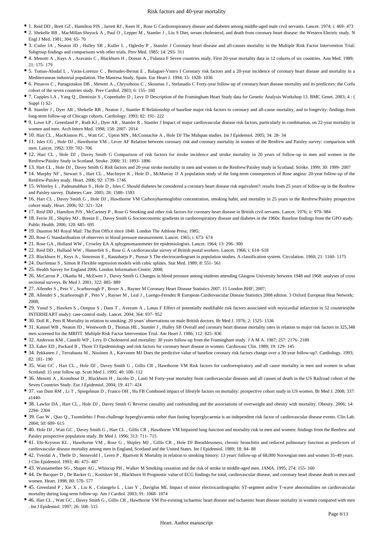- 1. Reid DD , Brett GZ , Hamilton PJS , Jarrett RJ , Keen H , Rose G Cardiorespiratory disease and diabetes among middle-aged male civil servants. Lancet. 1974; i: 469- 473
- 2. Shekelle RB , MacMillan Shryock A , Paul O , Lepper M , Stamler J , Liu S Diet, serum cholesterol, and death from coronary heart disease: the Western Electric study. N Engl J Med. 1981; 304: 65- 70
- 3. Cutler JA , Neaton JD , Hulley SB , Kuller L , Oglesby P , Stamler J Coronary heart disease and all-causes mortality in the Multiple Risk Factor Intervention Trial: Subgroup findings and comparisons with other trials. Prev Med. 1985; 14: 293- 311
- 4. Menotti A , Keys A , Aravanis C , Blackburn H , Dontas A , Fidanza F Seven countries study. First 20-year mortality data in 12 cohorts of six countries. Ann Med. 1989;  $21 \cdot 175 - 179$
- 5. Tomas-Abadal L , Varas-Lorenzo C , Bernades-Bernat E , Balaguer-Vintro I Coronary risk factors and a 20-year incidence of coronary heart disease and mortality in a Mediterranean industrial population. The Manresa Study, Spain. Eur Heart J. 1994; 15: 1028- 1036
- 6. Pitsavos C , Panagiotakos DB , Menotti A , Chrysohoou C , Skoumas J , Stefanadis C Forty-year follow-up of coronary heart disease mortality and its predictors: the Corfu cohort of the seven countries study. Prev Cardiol. 2003; 6: 155- 160
- 7. Cupples LA , Yang Q , Demissie S , Copenhafer D , Levy D Description of the Framingham Heart Study data for Genetic Analysis Workshop 13. BMC Genet. 2003; 4 : ( Suppl 1) S2-
- 8. Stamler J , Dyer AR , Shekelle RB , Neaton J , Stamler R Relationship of baseline major risk factors to coronary and all-cause mortality, and to longevity: findings from long-term follow-up of Chicago cohorts. Cardiology. 1993; 82: 191- 222
- 9. Lowe LP , Greenland P , Ruth KJ , Dyer AR , Stamler R , Stamler J Impact of major cardiovascular disease risk factors, particularly in combination, on 22-year mortality in women and men. Arch Intern Med. 1998; 158: 2007- 2014
- 10. Hart CL , MacKinnon PL , Watt GC , Upton MN , McConnachie A , Hole DJ The Midspan studies. Int J Epidemiol. 2005; 34: 28- 34
- 11. Isles CG , Hole DJ , Hawthorne VM , Lever AF Relation between coronary risk and coronary mortality in women of the Renfrew and Paisley survey: comparison with men. Lancet. 1992; 339: 702- 706
- 12. Hart CL , Hole DJ , Davey Smith G Comparison of risk factors for stroke incidence and stroke mortality in 20 years of follow-up in men and women in the Renfrew/Paisley Study in Scotland. Stroke. 2000; 31: 1893- 1896
- 13. Hart CL , Hole DJ , Davey Smith G Risk factors and 20-year stroke mortality in men and women in the Renfrew/Paisley study in Scotland. Stroke. 1999; 30: 1999- 2007
- 14. Murphy NF , Stewart S , Hart CL , MacIntyre K , Hole D , McMurray JJ A population study of the long-term consequences of Rose angina: 20-year follow-up of the Renfrew-Paisley study. Heart. 2006; 92: 1739- 1746
- 15. Whiteley L , Padmanabhan S , Hole D , Isles C Should diabetes be considered a coronary heart disease risk equivalent?: results from 25 years of follow-up in the Renfrew and Paisley survey. Diabetes Care. 2005; 28: 1588- 1593
- 16. Hart CL , Davey Smith G , Hole DJ , Hawthorne VM Carboxyhaemoglobin concentration, smoking habit, and mortality in 25 years in the Renfrew/Paisley prospective cohort study. Heart. 2006; 92: 321- 324
- 17. Reid DD , Hamilton PJS , McCartney P , Rose G Smoking and other risk factors for coronary heart disease in British civil servants. Lancet. 1976; ii: 979- 984
- 18. Ferrie JE , Shipley MJ , Breeze E , Davey Smith G Socioeconomic gradients in cardiorespiratory disease and diabetes in the 1960s: Baseline findings from the GPO study. Public Health. 2006; 120: 685- 695
- 19. Daunton MJ Royal Mail: The Post Office since 1840. London The Athlone Press; 1985;
- 20. Rose G Standardisation of observers in blood pressure measurement. Lancet. 1965; i: 673- 674
- 21. Rose GA , Holland WW , Crowley EA A sphygmomanometer for epidemiologists. Lancet. 1964; 13: 296- 300
- 22. Reid DD , Holland WW , Humerfelt S , Rose G A cardiovascular survey of British postal workers. Lancet. 1966; i: 614- 618
- 23. Blackburn H , Keys A , Simonson E , Rautaharju P , Punsar S The electrocardiogram in population studies. A classification system. Circulation. 1960; 21: 1160- 1175
- 24. Durrleman S , Simon R Flexible regression models with cubic splines. Stat Med. 1989; 8: 551- 561
- 25. Health Survey for England 2006. London Information Centre; 2008;
- 26. McCarron P , Okasha M , McEwen J , Davey Smith G Changes in blood pressure among students attending Glasgow University between 1948 and 1968: analyses of cross sectional surveys. Br Med J. 2001; 322: 885- 889
- 27. Allender S , Peto V , Scarborough P , Boxer A , Rayner M Coronary Heart Disease Statistics 2007. 15 London BHF; 2007;
- 28. Allender S , Scarborough P , Peto V , Rayner M , Leal J , Luengo-Ferndez R European Cardiovascular Disease Statistics 2008 edition. 3 Oxford European Heat Network; 2008;
- 29. Yusuf S , Hawken S , Ounpuu S , Dans T , Avezum A , Lanas F Effect of potentially modifiable risk factors associated with myocardial infarction in 52 countries(the INTERHEART study): case-control study. Lancet. 2004; 364: 937- 952
- 30. Doll R , Peto R Mortality in relation to smoking: 20 years' observations on male British doctors. Br Med J. 1976; 2: 1525- 1536
- 31. Kannel WB , Neaton JD , Wentworth D , Thomas HE , Stamler J , Hulley SB Overall and coronary heart disease mortality rates in relation to major risk factors in 325,348 men screened for the MRFIT. Multiple Risk Factor Intervention Trial. Am Heart J. 1986; 112: 825- 836
- 32. Anderson KM , Castelli WP , Levy D Cholesterol and mortality: 30 years follow-up from the Framingham study. J A M A. 1987; 257: 2176- 2180
- 33. Eaker ED , Packard B , Thom TJ Epidemiology and risk factors for coronary heart disease in women. Cardiovasc Clin. 1989; 19: 129- 145
- 34. Pekkanen J , Tervahauta M , Nissinen A , Karvonen MJ Does the predictive value of baseline coronary risk factors change over a 30-year follow-up?. Cardiology. 1993; 82: 181- 190
- 35. Watt GC , Hart CL , Hole DJ , Davey Smith G , Gillis CR , Hawthorne VM Risk factors for cardiorespiratory and all cause mortality in men and women in urban Scotland: 15 year follow up. Scott Med J. 1995; 40: 108- 112
- 36. Menotti A , Kromhout D , Blackburn H , Jacobs D , Lanti M Forty-year mortality from cardiovascular diseases and all causes of death in the US Railroad cohort of the Seven Countries Study. Eur J Epidemiol. 2004; 19: 417- 424
- 37. van Dam RM , Li T , Spiegelman D , Franco OH , Hu FB Combined impact of lifestyle factors on mortality: prospective cohort study in US women. Br Med J. 2008; 337: a1440-
- 38. Lawlor DA , Hart CL , Hole DJ , Davey Smith G Reverse causality and confounding and the associations of overweight and obesity with mortality. Obesity. 2006; 14: 2294- 2304
- 39. Gao W , Qiao Q , Tuomilehto J Post-challenge hyperglycaemia rather than fasting hyperglycaemia is an independent risk factor of cardiovascular disease events. Clin Lab. 2004; 50: 609- 615
- 40. Hole DJ , Watt GC , Davey Smith G , Hart CL , Gillis CR , Hawthorne VM Impaired lung function and mortality risk in men and women: findings from the Renfrew and Paisley prospective population study. Br Med J. 1996; 313: 711- 715
- 41. Ebi-Kryston KL , Hawthorne VM , Rose G , Shipley MJ , Gillis CR , Hole DJ Breathlessness, chronic bronchitis and reduced pulmonary function as predictors of cardiovascular disease mortality among men in England, Scotland and the United States. Int J Epidemiol. 1989; 18: 84- 88
- 42. Tverdal A , Thelle D , Stensvold I , Leren P , Bjartveit K Mortality in relation to smoking history: 13 years' follow-up of 68,000 Norwegian men and women 35–49 years. J Clin Epidemiol. 1993; 46: 475- 487
- 43. Wannamethee SG , Shaper AG , Whincup PH , Walker M Smoking cessation and the risk of stroke in middle-aged men. JAMA. 1995; 274: 155- 160
- 44. De Bacquer D , De Backer G , Kornitzer M , Blackburn H Prognostic value of ECG findings for total, cardiovascular disease, and coronary heart disease death in men and women. Heart. 1998; 80: 570- 577
- 45. Greenland P , Xie X , Liu K , Colangelo L , Liao Y , Daviglus ML Impact of minor electrocardiographic ST-segment and/or T-wave abnormalities on cardiovascular mortality during long-term follow-up. Am J Cardiol. 2003; 91: 1068- 1074
- 46. Hart CL , Watt GC , Davey Smith G , Gillis CR , Hawthorne VM Pre-existing ischaemic heart disease and ischaemic heart disease mortality in women compared with men . Int J Epidemiol. 1997; 26: 508- 515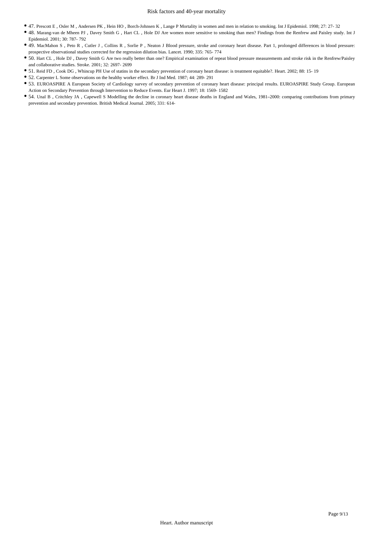- 47. Prescott E , Osler M , Andersen PK , Hein HO , Borch-Johnsen K , Lange P Mortality in women and men in relation to smoking. Int J Epidemiol. 1998; 27: 27- 32
- 48. Marang-van de Mheen PJ , Davey Smith G , Hart CL , Hole DJ Are women more sensitive to smoking than men? Findings from the Renfrew and Paisley study. Int J Epidemiol. 2001; 30: 787- 792
- 49. MacMahon S , Peto R , Cutler J , Collins R , Sorlie P , Neaton J Blood pressure, stroke and coronary heart disease. Part 1, prolonged differences in blood pressure: prospective observational studies corrected for the regression dilution bias. Lancet. 1990; 335: 765- 774
- 50. Hart CL , Hole DJ , Davey Smith G Are two really better than one? Empirical examination of repeat blood pressure measurements and stroke risk in the Renfrew/Paisley and collaborative studies. Stroke. 2001; 32: 2697- 2699
- 51. Reid FD , Cook DG , Whincup PH Use of statins in the secondary prevention of coronary heart disease: is treatment equitable?. Heart. 2002; 88: 15- 19
- 52. Carpenter L Some observations on the healthy worker effect. Br J Ind Med. 1987; 44: 289- 291
- 53. EUROASPIRE A European Society of Cardiology survey of secondary prevention of coronary heart disease: principal results. EUROASPIRE Study Group. European Action on Secondary Prevention through Intervention to Reduce Events. Eur Heart J. 1997; 18: 1569- 1582
- 54. Unal B , Critchley JA , Capewell S Modelling the decline in coronary heart disease deaths in England and Wales, 1981–2000: comparing contributions from primary prevention and secondary prevention. British Medical Journal. 2005; 331: 614-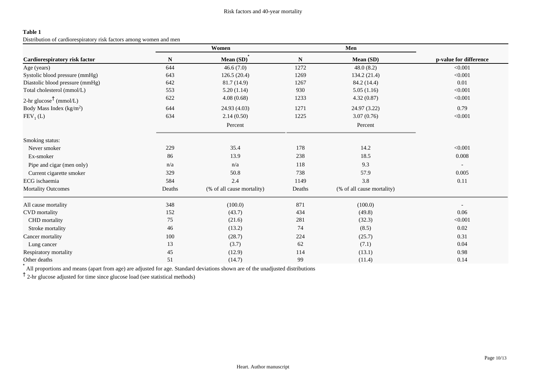Distribution of cardiorespiratory risk factors among women and men

|                                    |        | Women                      |        | Men                        |                        |
|------------------------------------|--------|----------------------------|--------|----------------------------|------------------------|
| Cardiorespiratory risk factor      | N      | Mean (SD)                  | N      | Mean (SD)                  | p-value for difference |
| Age (years)                        | 644    | 46.6(7.0)                  | 1272   | 48.0(8.2)                  | < 0.001                |
| Systolic blood pressure (mmHg)     | 643    | 126.5(20.4)                | 1269   | 134.2 (21.4)               | < 0.001                |
| Diastolic blood pressure (mmHg)    | 642    | 81.7 (14.9)                | 1267   | 84.2 (14.4)                | 0.01                   |
| Total cholesterol (mmol/L)         | 553    | 5.20(1.14)                 | 930    | 5.05(1.16)                 | < 0.001                |
| 2-hr glucose <sup>†</sup> (mmol/L) | 622    | 4.08(0.68)                 | 1233   | 4.32(0.87)                 | < 0.001                |
| Body Mass Index $(kg/m2)$          | 644    | 24.93 (4.03)               | 1271   | 24.97 (3.22)               | 0.79                   |
| $FEV1$ (L)                         | 634    | 2.14(0.50)                 | 1225   | 3.07(0.76)                 | < 0.001                |
|                                    |        | Percent                    |        | Percent                    |                        |
| Smoking status:                    |        |                            |        |                            |                        |
| Never smoker                       | 229    | 35.4                       | 178    | 14.2                       | < 0.001                |
| Ex-smoker                          | 86     | 13.9                       | 238    | 18.5                       | 0.008                  |
| Pipe and cigar (men only)          | n/a    | n/a                        | 118    | 9.3                        |                        |
| Current cigarette smoker           | 329    | 50.8                       | 738    | 57.9                       | 0.005                  |
| ECG ischaemia                      | 584    | 2.4                        | 1149   | 3.8                        | 0.11                   |
| <b>Mortality Outcomes</b>          | Deaths | (% of all cause mortality) | Deaths | (% of all cause mortality) |                        |
| All cause mortality                | 348    | (100.0)                    | 871    | (100.0)                    |                        |
| <b>CVD</b> mortality               | 152    | (43.7)                     | 434    | (49.8)                     | 0.06                   |
| CHD mortality                      | 75     | (21.6)                     | 281    | (32.3)                     | < 0.001                |
| Stroke mortality                   | 46     | (13.2)                     | 74     | (8.5)                      | 0.02                   |
| Cancer mortality                   | 100    | (28.7)                     | 224    | (25.7)                     | 0.31                   |
| Lung cancer                        | 13     | (3.7)                      | 62     | (7.1)                      | 0.04                   |
| Respiratory mortality              | 45     | (12.9)                     | 114    | (13.1)                     | 0.98                   |
| Other deaths                       | 51     | (14.7)                     | 99     | (11.4)                     | 0.14                   |

\* All proportions and means (apart from age) are adjusted for age. Standard deviations shown are of the unadjusted distributions

† 2-hr glucose adjusted for time since glucose load (see statistical methods)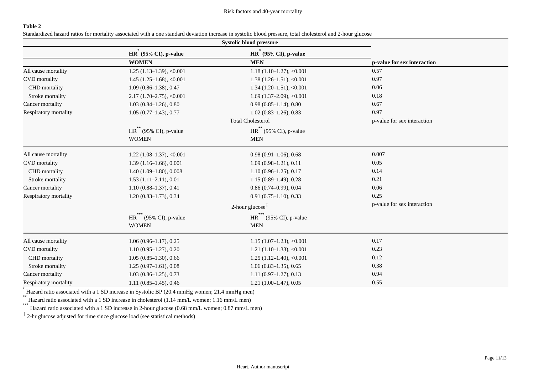Standardized hazard ratios for mortality associated with a one standard deviation increase in systolic blood pressure, total cholesterol and 2-hour glucose

|                       | Systolic blood pressure                                    |                                                    |                             |  |
|-----------------------|------------------------------------------------------------|----------------------------------------------------|-----------------------------|--|
|                       | $HR^{\text{T}}$ (95% CI), p-value                          | $HR$ (95% CI), p-value                             |                             |  |
|                       | <b>WOMEN</b>                                               | <b>MEN</b>                                         | p-value for sex interaction |  |
| All cause mortality   | $1.25(1.13-1.39), <0.001$                                  | $1.18(1.10-1.27), <0.001$                          | 0.57                        |  |
| <b>CVD</b> mortality  | $1.45(1.25-1.68), <0.001$                                  | $1.38(1.26-1.51), <0.001$                          | 0.97                        |  |
| CHD mortality         | $1.09(0.86 - 1.38), 0.47$                                  | $1.34(1.20-1.51), <0.001$                          | 0.06                        |  |
| Stroke mortality      | $2.17(1.70-2.75), <0.001$                                  | $1.69$ (1.37-2.09), <0.001                         | 0.18                        |  |
| Cancer mortality      | $1.03(0.84 - 1.26), 0.80$                                  | $0.98(0.85 - 1.14), 0.80$                          | 0.67                        |  |
| Respiratory mortality | $1.05(0.77-1.43), 0.77$                                    | $1.02(0.83 - 1.26), 0.83$                          | 0.97                        |  |
|                       |                                                            | <b>Total Cholesterol</b>                           | p-value for sex interaction |  |
|                       | $\operatorname{HR}^{**}$ (95% CI), p-value<br><b>WOMEN</b> | $HR$ <sup>**</sup> (95% CI), p-value<br><b>MEN</b> |                             |  |
| All cause mortality   | $1.22$ (1.08–1.37), <0.001                                 | $0.98(0.91 - 1.06), 0.68$                          | 0.007                       |  |
| <b>CVD</b> mortality  | $1.39(1.16-1.66), 0.001$                                   | $1.09(0.98 - 1.21), 0.11$                          | 0.05                        |  |
| CHD mortality         | $1.40(1.09-1.80), 0.008$                                   | $1.10(0.96-1.25), 0.17$                            | 0.14                        |  |
| Stroke mortality      | $1.53(1.11-2.11), 0.01$                                    | $1.15(0.89-1.49), 0.28$                            | 0.21                        |  |
| Cancer mortality      | $1.10(0.88 - 1.37), 0.41$                                  | $0.86(0.74 - 0.99), 0.04$                          | 0.06                        |  |
| Respiratory mortality | $1.20(0.83 - 1.73), 0.34$                                  | $0.91(0.75 - 1.10), 0.33$                          | 0.25                        |  |
|                       | 2-hour glucose <sup><math>\uparrow</math></sup>            |                                                    | p-value for sex interaction |  |
|                       | HR <sup>***</sup> (95% CI), p-value                        | $HR$ <sup>"</sup> (95% CI), p-value                |                             |  |
|                       | <b>WOMEN</b>                                               | <b>MEN</b>                                         |                             |  |
| All cause mortality   | $1.06(0.96 - 1.17), 0.25$                                  | $1.15(1.07-1.23), <0.001$                          | 0.17                        |  |
| <b>CVD</b> mortality  | $1.10(0.95 - 1.27), 0.20$                                  | 1.21 $(1.10-1.33)$ , <0.001                        | 0.23                        |  |
| CHD mortality         | $1.05(0.85-1.30), 0.66$                                    | $1.25(1.12-1.40), <0.001$                          | 0.12                        |  |
| Stroke mortality      | $1.25(0.97-1.61), 0.08$                                    | $1.06(0.83 - 1.35), 0.65$                          | 0.38                        |  |
| Cancer mortality      | $1.03(0.86 - 1.25), 0.73$                                  | $1.11(0.97-1.27), 0.13$                            | 0.94                        |  |
| Respiratory mortality | $1.11(0.85-1.45), 0.46$                                    | $1.21(1.00-1.47), 0.05$                            | 0.55                        |  |

\* Hazard ratio associated with a 1 SD increase in Systolic BP (20.4 mmHg women; 21.4 mmHg men)

\*\* Hazard ratio associated with a 1 SD increase in cholesterol (1.14 mm/L women; 1.16 mm/L men)

\*\*\* Hazard ratio associated with a 1 SD increase in 2-hour glucose (0.68 mm/L women; 0.87 mm/L men)

† 2-hr glucose adjusted for time since glucose load (see statistical methods)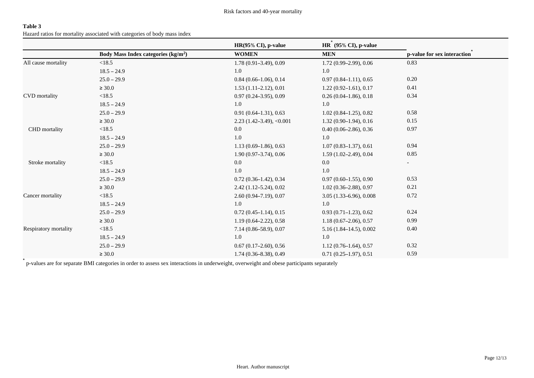Hazard ratios for mortality associated with categories of body mass index

|                       |                                                 | HR(95% CI), p-value        | $HR^{\hat{}}$ (95% CI), p-value |                             |
|-----------------------|-------------------------------------------------|----------------------------|---------------------------------|-----------------------------|
|                       | Body Mass Index categories (kg/m <sup>2</sup> ) | <b>WOMEN</b>               | <b>MEN</b>                      | p-value for sex interaction |
| All cause mortality   | <18.5                                           | $1.78(0.91 - 3.49), 0.09$  | 1.72 (0.99-2.99), 0.06          | 0.83                        |
|                       | $18.5 - 24.9$                                   | 1.0                        | 1.0                             |                             |
|                       | $25.0 - 29.9$                                   | $0.84$ (0.66-1.06), 0.14   | $0.97(0.84 - 1.11), 0.65$       | 0.20                        |
|                       | $\geq 30.0$                                     | $1.53(1.11-2.12), 0.01$    | $1.22(0.92 - 1.61), 0.17$       | 0.41                        |
| <b>CVD</b> mortality  | <18.5                                           | $0.97(0.24 - 3.95), 0.09$  | $0.26(0.04-1.86), 0.18$         | 0.34                        |
|                       | $18.5 - 24.9$                                   | 1.0                        | 1.0                             |                             |
|                       | $25.0 - 29.9$                                   | $0.91(0.64-1.31), 0.63$    | $1.02(0.84-1.25), 0.82$         | 0.58                        |
|                       | $\geq 30.0$                                     | $2.23$ (1.42-3.49), <0.001 | $1.32(0.90-1.94), 0.16$         | 0.15                        |
| CHD mortality         | <18.5                                           | $0.0\,$                    | $0.40(0.06-2.86), 0.36$         | 0.97                        |
|                       | $18.5 - 24.9$                                   | 1.0                        | 1.0                             |                             |
|                       | $25.0 - 29.9$                                   | $1.13(0.69-1.86), 0.63$    | $1.07(0.83 - 1.37), 0.61$       | 0.94                        |
|                       | $\geq 30.0$                                     | $1.90(0.97-3.74), 0.06$    | $1.59(1.02 - 2.49), 0.04$       | 0.85                        |
| Stroke mortality      | <18.5                                           | $0.0\,$                    | $0.0\,$                         |                             |
|                       | $18.5 - 24.9$                                   | 1.0                        | 1.0                             |                             |
|                       | $25.0 - 29.9$                                   | $0.72(0.36-1.42), 0.34$    | $0.97(0.60-1.55), 0.90$         | 0.53                        |
|                       | $\geq 30.0$                                     | $2.42(1.12 - 5.24), 0.02$  | $1.02(0.36-2.88), 0.97$         | 0.21                        |
| Cancer mortality      | <18.5                                           | $2.60(0.94 - 7.19), 0.07$  | $3.05(1.33 - 6.96), 0.008$      | 0.72                        |
|                       | $18.5 - 24.9$                                   | 1.0                        | $1.0\,$                         |                             |
|                       | $25.0 - 29.9$                                   | $0.72(0.45 - 1.14), 0.15$  | $0.93(0.71 - 1.23), 0.62$       | 0.24                        |
|                       | $\geq 30.0$                                     | $1.19(0.64 - 2.22), 0.58$  | $1.18(0.67-2.06), 0.57$         | 0.99                        |
| Respiratory mortality | <18.5                                           | $7.14(0.86 - 58.9), 0.07$  | $5.16(1.84-14.5), 0.002$        | 0.40                        |
|                       | $18.5 - 24.9$                                   | 1.0                        | 1.0                             |                             |
|                       | $25.0 - 29.9$                                   | $0.67(0.17-2.60), 0.56$    | $1.12(0.76-1.64), 0.57$         | 0.32                        |
|                       | $\geq 30.0$                                     | $1.74(0.36 - 8.38), 0.49$  | $0.71(0.25-1.97), 0.51$         | 0.59                        |
|                       |                                                 |                            |                                 |                             |

\* p-values are for separate BMI categories in order to assess sex interactions in underweight, overweight and obese participants separately